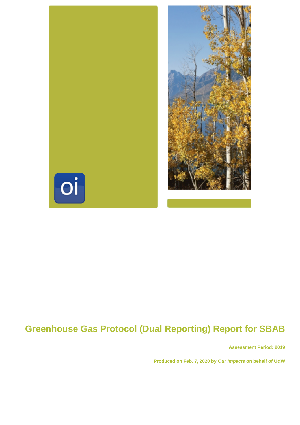

# **Greenhouse Gas Protocol (Dual Reporting) Report for SBAB**

**Assessment Period: 2019**

**Produced on Feb. 7, 2020 by Our Impacts on behalf of U&W**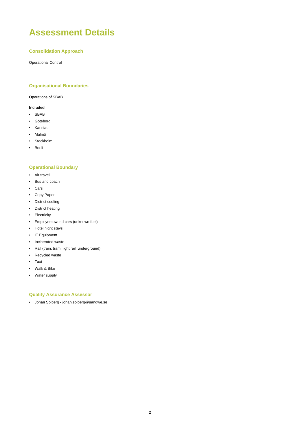## **Assessment Details**

#### **Consolidation Approach**

Operational Control

#### **Organisational Boundaries**

Operations of SBAB

#### **Included**

- SBAB
- Göteborg
- Karlstad
- Malmö
- Stockholm
- Booli

#### **Operational Boundary**

- Air travel
- Bus and coach
- Cars
- Copy Paper
- District cooling
- District heating
- Electricity
- Employee owned cars (unknown fuel)
- Hotel night stays
- IT Equipment
- Incinerated waste
- Rail (train, tram, light rail, underground)
- Recycled waste
- Taxi
- Walk & Bike
- Water supply

#### **Quality Assurance Assessor**

• Johan Solberg - johan.solberg@uandwe.se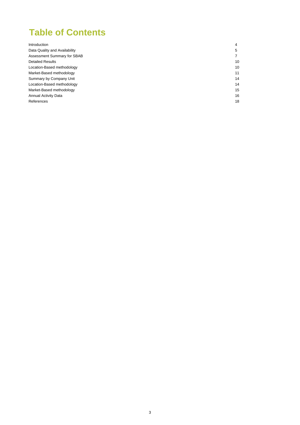### **Table of Contents**

| Introduction                  | 4              |
|-------------------------------|----------------|
| Data Quality and Availability | 5              |
| Assessment Summary for SBAB   | $\overline{7}$ |
| <b>Detailed Results</b>       | 10             |
| Location-Based methodology    | 10             |
| Market-Based methodology      | 11             |
| Summary by Company Unit       | 14             |
| Location-Based methodology    | 14             |
| Market-Based methodology      | 15             |
| <b>Annual Activity Data</b>   | 16             |
| References                    | 18             |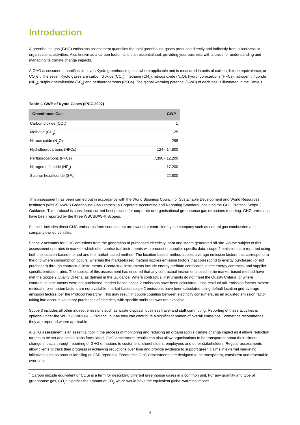### **Introduction**

A greenhouse gas (GHG) emissions assessment quantifies the total greenhouse gases produced directly and indirectly from a business or organisation's activities. Also known as a carbon footprint, it is an essential tool, providing your business with a basis for understanding and managing its climate change impacts.

A GHG assessment quantifies all seven Kyoto greenhouse gases where applicable and is measured in units of carbon dioxide equivalence, or CO<sub>2</sub>e<sup>1</sup>. The seven Kyoto gases are carbon dioxide (CO<sub>2</sub>), methane (CH<sub>4</sub>), nitrous oxide (N<sub>2</sub>O), hydrofluorocarbons (HFCs), nitrogen trifluoride (NF<sub>3</sub>), sulphur hexafluoride (SF<sub>6</sub>) and perfluorocarbons (PFCs). The global warming potential (GWP) of each gas is illustrated in the Table 1.

#### **Table 1. GWP of Kyoto Gases (IPCC 2007)**

| <b>Greenhouse Gas</b>                   | <b>GWP</b>     |
|-----------------------------------------|----------------|
| Carbon dioxide (CO <sub>2</sub> )       | 1              |
| Methane $(CH_A)$                        | 25             |
| Nitrous oxide $(N, O)$                  | 298            |
| Hydrofluorocarbons (HFCs)               | 124 - 14.800   |
| Perfluorocarbons (PFCs)                 | 7,390 - 12,200 |
| Nitrogen trifluoride (NF <sub>3</sub> ) | 17,200         |
| Sulphur hexafluoride $(SF_{\kappa})$    | 22,800         |

This assessment has been carried out in accordance with the World Business Council for Sustainable Development and World Resources Institute's (WBCSD/WRI) Greenhouse Gas Protocol; a Corporate Accounting and Reporting Standard, including the GHG Protocol Scope 2 Guidance. This protocol is considered current best practice for corporate or organisational greenhouse gas emissions reporting. GHG emissions have been reported by the three WBCSD/WRI Scopes.

Scope 1 includes direct GHG emissions from sources that are owned or controlled by the company such as natural gas combustion and company owned vehicles.

Scope 2 accounts for GHG emissions from the generation of purchased electricity, heat and steam generated off-site. As the subject of this assessment operates in markets which offer contractual instruments with product or supplier-specific data, scope 2 emissions are reported using both the location-based method and the market-based method. The location-based method applies average emission factors that correspond to the grid where consumption occurs, whereas the market-based method applies emission factors that correspond to energy purchased (or not purchased) through contractual instruments. Contractual instruments include energy attribute certificates, direct energy contracts, and supplier specific emission rates. The subject of this assessment has ensured that any contractual instruments used in the market-based method have met the Scope 2 Quality Criteria, as defined in the Guidance. Where contractual instruments do not meet the Quality Criteria, or where contractual instruments were not purchased, market-based scope 2 emissions have been calculated using residual mix emission factors. Where residual mix emission factors are not available, market-based scope 2 emissions have been calculated using default location grid-average emission factors, per the Protocol hierarchy. This may result in double counting between electricity consumers, as an adjusted emission factor taking into account voluntary purchases of electricity with specific attributes was not available.

Scope 3 includes all other indirect emissions such as waste disposal, business travel and staff commuting. Reporting of these activities is optional under the WBCSD/WRI GHG Protocol, but as they can contribute a significant portion of overall emissions Ecometrica recommends they are reported where applicable.

A GHG assessment is an essential tool in the process of monitoring and reducing an organisation's climate change impact as it allows reduction targets to be set and action plans formulated. GHG assessment results can also allow organisations to be transparent about their climate change impacts through reporting of GHG emissions to customers, shareholders, employees and other stakeholders. Regular assessments allow clients to track their progress in achieving reductions over time and provide evidence to support green claims in external marketing initiatives such as product labelling or CSR reporting. Ecometrica GHG assessments are designed to be transparent, consistent and repeatable over time.

 $^1$  Carbon dioxide equivalent or CO<sub>2</sub>e is a term for describing different greenhouse gases in a common unit. For any quantity and type of greenhouse gas, CO<sub>2</sub>e signifies the amount of CO<sub>2</sub> which would have the equivalent global warming impact.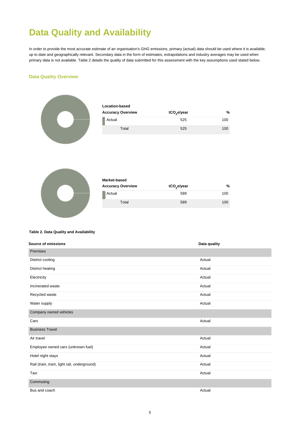## **Data Quality and Availability**

In order to provide the most accurate estimate of an organisation's GHG emissions, primary (actual) data should be used where it is available, up to date and geographically relevant. Secondary data in the form of estimates, extrapolations and industry averages may be used when primary data is not available. Table 2 details the quality of data submitted for this assessment with the key assumptions used stated below.

#### **Data Quality Overview**



| <b>Location-based</b>    |                         |     |  |  |
|--------------------------|-------------------------|-----|--|--|
| <b>Accuracy Overview</b> | tCO <sub>2</sub> e/year | %   |  |  |
| Actual                   | 525                     | 100 |  |  |
| Total                    | 525                     | 100 |  |  |



| Market-based             |                         |     |  |  |
|--------------------------|-------------------------|-----|--|--|
| <b>Accuracy Overview</b> | tCO <sub>2</sub> e/year | %   |  |  |
| Actual                   | 589                     | 100 |  |  |
| Total                    | 589                     | 100 |  |  |

#### **Table 2. Data Quality and Availability**

| <b>Source of emissions</b>                  | Data quality |
|---------------------------------------------|--------------|
| Premises                                    |              |
| District cooling                            | Actual       |
| District heating                            | Actual       |
| Electricity                                 | Actual       |
| Incinerated waste                           | Actual       |
| Recycled waste                              | Actual       |
| Water supply                                | Actual       |
| Company owned vehicles                      |              |
| Cars                                        | Actual       |
| <b>Business Travel</b>                      |              |
| Air travel                                  | Actual       |
| Employee owned cars (unknown fuel)          | Actual       |
| Hotel night stays                           | Actual       |
| Rail (train, tram, light rail, underground) | Actual       |
| Taxi                                        | Actual       |
| Commuting                                   |              |
| Bus and coach                               | Actual       |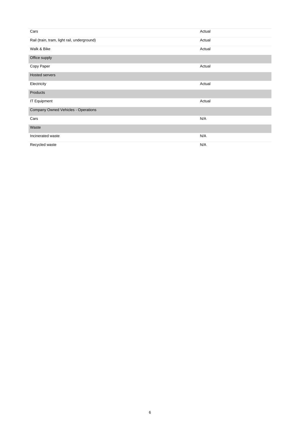| Cars                                        | Actual |
|---------------------------------------------|--------|
| Rail (train, tram, light rail, underground) | Actual |
| Walk & Bike                                 | Actual |
| Office supply                               |        |
| Copy Paper                                  | Actual |
| <b>Hosted servers</b>                       |        |
| Electricity                                 | Actual |
| Products                                    |        |
| <b>IT Equipment</b>                         | Actual |
| Company Owned Vehicles - Operations         |        |
| Cars                                        | N/A    |
| Waste                                       |        |
| Incinerated waste                           | N/A    |
| Recycled waste                              | N/A    |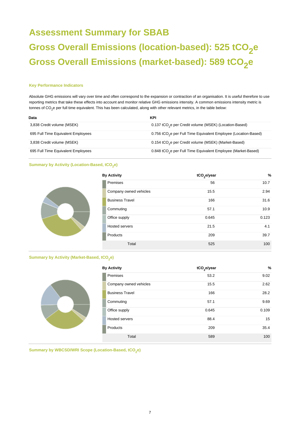# **Assessment Summary for SBAB Gross Overall Emissions (location-based): 525 tCO<sup>2</sup> e Gross Overall Emissions (market-based): 589 tCO<sup>2</sup> e**

#### **Key Performance Indicators**

Absolute GHG emissions will vary over time and often correspond to the expansion or contraction of an organisation. It is useful therefore to use reporting metrics that take these effects into account and monitor relative GHG emissions intensity. A common emissions intensity metric is tonnes of CO<sub>2</sub>e per full time equivalent. This has been calculated, along with other relevant metrics, in the table below:

| Data                               | KPI                                                                         |
|------------------------------------|-----------------------------------------------------------------------------|
| 3,838 Credit volume (MSEK)         | 0.137 tCO <sub>2</sub> e per Credit volume (MSEK) (Location-Based)          |
| 695 Full Time Equivalent Employees | 0.756 tCO <sub>2</sub> e per Full Time Equivalent Employee (Location-Based) |
| 3,838 Credit volume (MSEK)         | 0.154 tCO <sub>2</sub> e per Credit volume (MSEK) (Market-Based)            |
| 695 Full Time Equivalent Employees | 0.848 tCO <sub>2</sub> e per Full Time Equivalent Employee (Market-Based)   |

#### **Summary by Activity (Location-Based, tCO<sub>2</sub>e)**

| <b>By Activity</b>     | tCO <sub>2</sub> e/year | $\frac{9}{6}$ |
|------------------------|-------------------------|---------------|
| Premises               | 56                      | 10.7          |
| Company owned vehicles | 15.5                    | 2.94          |
| <b>Business Travel</b> | 166                     | 31.6          |
| Commuting              | 57.1                    | 10.9          |
| Office supply          | 0.645                   | 0.123         |
| <b>Hosted servers</b>  | 21.5                    | 4.1           |
| Products               | 209                     | 39.7          |
| Total                  | 525                     | 100           |

### **Summary by Activity (Market-Based, tCO<sup>2</sup> e)**



**Summary by WBCSD/WRI Scope (Location-Based, tCO<sup>2</sup> e)**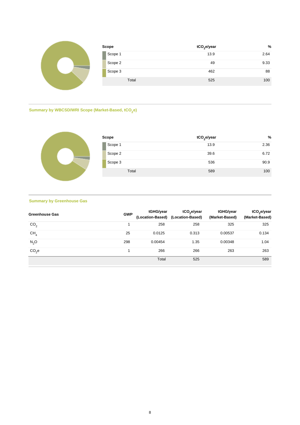| Scope   | tCO <sub>2</sub> e/year | %    |
|---------|-------------------------|------|
| Scope 1 | 13.9                    | 2.64 |
| Scope 2 | 49                      | 9.33 |
| Scope 3 | 462                     | 88   |
| Total   | 525                     | 100  |

#### **Summary by WBCSD/WRI Scope (Market-Based, tCO<sup>2</sup> e)**



| Scope |         | tCO <sub>2</sub> e/year | %    |  |
|-------|---------|-------------------------|------|--|
|       | Scope 1 | 13.9                    | 2.36 |  |
|       | Scope 2 | 39.6                    | 6.72 |  |
|       | Scope 3 | 536                     | 90.9 |  |
|       | Total   | 589                     | 100  |  |

### **Summary by Greenhouse Gas**

| <b>Greenhouse Gas</b> | <b>GWP</b> | tGHG/year | tCO <sub>2</sub> e/year<br>(Location-Based) (Location-Based) | tGHG/year<br>(Market-Based) | tCO <sub>2</sub> e/year<br>(Market-Based) |
|-----------------------|------------|-----------|--------------------------------------------------------------|-----------------------------|-------------------------------------------|
| CO <sub>2</sub>       |            | 258       | 258                                                          | 325                         | 325                                       |
| CH <sub>4</sub>       | 25         | 0.0125    | 0.313                                                        | 0.00537                     | 0.134                                     |
| $N_2$ O               | 298        | 0.00454   | 1.35                                                         | 0.00348                     | 1.04                                      |
| CO <sub>2</sub> e     |            | 266       | 266                                                          | 263                         | 263                                       |
|                       |            | Total     | 525                                                          |                             | 589                                       |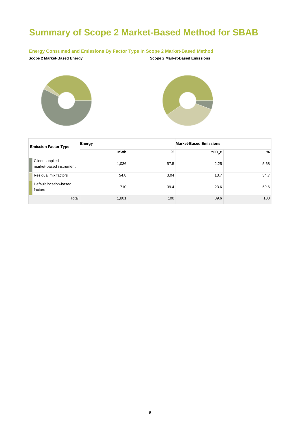# **Summary of Scope 2 Market-Based Method for SBAB**

#### **Energy Consumed and Emissions By Factor Type In Scope 2 Market-Based Method**







| <b>Emission Factor Type</b>                | Energy     |      | <b>Market-Based Emissions</b> |      |  |
|--------------------------------------------|------------|------|-------------------------------|------|--|
|                                            | <b>MWh</b> | %    | tCO <sub>2</sub> e            | %    |  |
| Client-supplied<br>market-based instrument | 1,036      | 57.5 | 2.25                          | 5.68 |  |
| Residual mix factors                       | 54.8       | 3.04 | 13.7                          | 34.7 |  |
| Default location-based<br>factors          | 710        | 39.4 | 23.6                          | 59.6 |  |
| Total                                      | 1,801      | 100  | 39.6                          | 100  |  |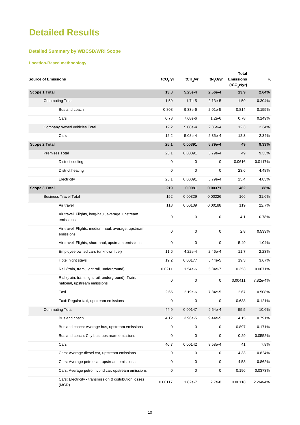### **Detailed Results**

### **Detailed Summary by WBCSD/WRI Scope**

### **Location-Based methodology**

| <b>Source of Emissions</b>                                                          | tCO <sub>2</sub> /yr | tCH <sub>4</sub> /yr | tN <sub>2</sub> O/yr | <b>Total</b><br><b>Emissions</b><br>(tCO <sub>2</sub> e/yr) | %        |
|-------------------------------------------------------------------------------------|----------------------|----------------------|----------------------|-------------------------------------------------------------|----------|
| <b>Scope 1 Total</b>                                                                | 13.8                 | 5.25e-4              | 2.56e-4              | 13.9                                                        | 2.64%    |
| <b>Commuting Total</b>                                                              | 1.59                 | $1.7e-5$             | $2.13e-5$            | 1.59                                                        | 0.304%   |
| Bus and coach                                                                       | 0.808                | 9.33e-6              | $2.01e-5$            | 0.814                                                       | 0.155%   |
| Cars                                                                                | 0.78                 | 7.68e-6              | $1.2e-6$             | 0.78                                                        | 0.149%   |
| Company owned vehicles Total                                                        | 12.2                 | 5.08e-4              | 2.35e-4              | 12.3                                                        | 2.34%    |
| Cars                                                                                | 12.2                 | 5.08e-4              | 2.35e-4              | 12.3                                                        | 2.34%    |
| <b>Scope 2 Total</b>                                                                | 25.1                 | 0.00391              | 5.79e-4              | 49                                                          | 9.33%    |
| <b>Premises Total</b>                                                               | 25.1                 | 0.00391              | 5.79e-4              | 49                                                          | 9.33%    |
| District cooling                                                                    | 0                    | 0                    | 0                    | 0.0616                                                      | 0.0117%  |
| District heating                                                                    | 0                    | $\mathbf 0$          | 0                    | 23.6                                                        | 4.48%    |
| Electricity                                                                         | 25.1                 | 0.00391              | 5.79e-4              | 25.4                                                        | 4.83%    |
| <b>Scope 3 Total</b>                                                                | 219                  | 0.0081               | 0.00371              | 462                                                         | 88%      |
| <b>Business Travel Total</b>                                                        | 152                  | 0.00329              | 0.00226              | 166                                                         | 31.6%    |
| Air travel                                                                          | 118                  | 0.00109              | 0.00188              | 119                                                         | 22.7%    |
| Air travel: Flights, long-haul, average, upstream<br>emissions                      | 0                    | $\mathbf 0$          | 0                    | 4.1                                                         | 0.78%    |
| Air travel: Flights, medium-haul, average, upstream<br>emissions                    | 0                    | $\mathbf 0$          | 0                    | 2.8                                                         | 0.533%   |
| Air travel: Flights, short-haul, upstream emissions                                 | 0                    | 0                    | 0                    | 5.49                                                        | 1.04%    |
| Employee owned cars (unknown fuel)                                                  | 11.6                 | 4.22e-4              | 2.46e-4              | 11.7                                                        | 2.23%    |
| Hotel night stays                                                                   | 19.2                 | 0.00177              | 5.44e-5              | 19.3                                                        | 3.67%    |
| Rail (train, tram, light rail, underground)                                         | 0.0211               | 1.54e-6              | 5.34e-7              | 0.353                                                       | 0.0671%  |
| Rail (train, tram, light rail, underground): Train,<br>national, upstream emissions | 0                    | $\mathbf 0$          | 0                    | 0.00411                                                     | 7.82e-4% |
| Taxi                                                                                | 2.65                 | 2.19e-6              | 7.84e-5              | 2.67                                                        | 0.508%   |
| Taxi: Regular taxi, upstream emissions                                              | 0                    | $\mathbf 0$          | 0                    | 0.638                                                       | 0.121%   |
| <b>Commuting Total</b>                                                              | 44.9                 | 0.00147              | $9.54e-4$            | 55.5                                                        | 10.6%    |
| Bus and coach                                                                       | 4.12                 | 3.96e-5              | 9.44e-5              | 4.15                                                        | 0.791%   |
| Bus and coach: Average bus, upstream emissions                                      | $\mathsf 0$          | 0                    | 0                    | 0.897                                                       | 0.171%   |
| Bus and coach: City bus, upstream emissions                                         | $\mathsf 0$          | 0                    | 0                    | 0.29                                                        | 0.0552%  |
| Cars                                                                                | 40.7                 | 0.00142              | 8.58e-4              | 41                                                          | 7.8%     |
| Cars: Average diesel car, upstream emissions                                        | $\mathsf 0$          | $\mathsf{O}\xspace$  | 0                    | 4.33                                                        | 0.824%   |
| Cars: Average petrol car, upstream emissions                                        | $\mathsf 0$          | 0                    | 0                    | 4.53                                                        | 0.862%   |
| Cars: Average petrol hybrid car, upstream emissions                                 | $\mathsf 0$          | 0                    | 0                    | 0.196                                                       | 0.0373%  |
| Cars: Electricity - transmission & distribution losses<br>(MCR)                     | 0.00117              | 1.82e-7              | 2.7e-8               | 0.00118                                                     | 2.26e-4% |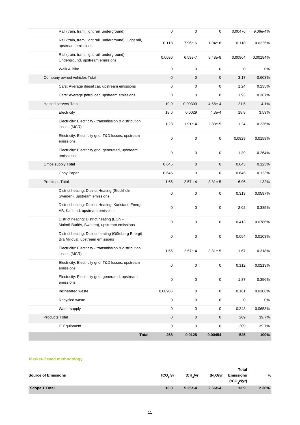|                       | Rail (train, tram, light rail, underground)                                              | 0                   | 0                   | 0                | 0.00476 | 9.06e-4% |
|-----------------------|------------------------------------------------------------------------------------------|---------------------|---------------------|------------------|---------|----------|
|                       | Rail (train, tram, light rail, underground): Light rail,<br>upstream emissions           | 0.118               | 7.96e-6             | $1.04e-6$        | 0.118   | 0.0225%  |
|                       | Rail (train, tram, light rail, underground):<br>Underground, upstream emissions          | 0.0096              | 6.53e-7             | 8.48e-8          | 0.00964 | 0.00184% |
|                       | Walk & Bike                                                                              | 0                   | 0                   | 0                | 0       | $0\%$    |
|                       | Company owned vehicles Total                                                             | $\pmb{0}$           | $\mathbf 0$         | 0                | 3.17    | 0.603%   |
|                       | Cars: Average diesel car, upstream emissions                                             | 0                   | 0                   | 0                | 1.24    | 0.235%   |
|                       | Cars: Average petrol car, upstream emissions                                             | 0                   | 0                   | 0                | 1.93    | 0.367%   |
|                       | <b>Hosted servers Total</b>                                                              | 19.9                | 0.00309             | 4.58e-4          | 21.5    | 4.1%     |
|                       | Electricity                                                                              | 18.6                | 0.0029              | 4.3e-4           | 18.8    | 3.59%    |
|                       | Electricity: Electricity - transmission & distribution<br>losses (MCR)                   | 1.23                | 1.91e-4             | 2.83e-5          | 1.24    | 0.236%   |
|                       | Electricity: Electricity grid, T&D losses, upstream<br>emissions                         | 0                   | 0                   | 0                | 0.0829  | 0.0158%  |
|                       | Electricity: Electricity grid, generated, upstream<br>emissions                          | $\mathbf 0$         | 0                   | 0                | 1.39    | 0.264%   |
|                       | Office supply Total                                                                      | 0.645               | 0                   | $\mathbf 0$      | 0.645   | 0.123%   |
|                       | Copy Paper                                                                               | 0.645               | 0                   | 0                | 0.645   | 0.123%   |
| <b>Premises Total</b> |                                                                                          | 1.66                | 2.57e-4             | 3.81e-5          | 6.96    | 1.32%    |
|                       | District heating: District Heating (Stockholm,<br>Sweden), upstream emissions            | 0                   | 0                   | 0                | 0.313   | 0.0597%  |
|                       | District heating: District Heating, Karlstads Energi<br>AB, Karlstad, upstream emissions | 0                   | 0                   | 0                | 2.02    | 0.385%   |
|                       | District heating: District heating (EON -<br>Malmö-Burlöv, Sweden), upstream emissions   | $\pmb{0}$           | 0                   | 0                | 0.413   | 0.0786%  |
|                       | District heating: District heating (Göteborg Energi)<br>Bra Miljöval, upstream emissions | $\mathbf 0$         | 0                   | 0                | 0.054   | 0.0103%  |
|                       | Electricity: Electricity - transmission & distribution<br>losses (MCR)                   | 1.65                | 2.57e-4             | 3.81e-5          | 1.67    | 0.318%   |
|                       | Electricity: Electricity grid, T&D losses, upstream<br>emissions                         | $\pmb{0}$           | 0                   | 0                | 0.112   | 0.0213%  |
|                       | Electricity: Electricity grid, generated, upstream<br>emissions                          | $\pmb{0}$           | $\mathsf 0$         | $\pmb{0}$        | 1.87    | 0.356%   |
|                       | Incinerated waste                                                                        | 0.00906             | 0                   | 0                | 0.161   | 0.0306%  |
|                       | Recycled waste                                                                           | $\pmb{0}$           | $\mathsf{O}\xspace$ | $\pmb{0}$        | 0       | 0%       |
|                       | Water supply                                                                             | 0                   | $\mathsf{O}\xspace$ | 0                | 0.343   | 0.0653%  |
| <b>Products Total</b> |                                                                                          | $\pmb{0}$           | $\boldsymbol{0}$    | $\boldsymbol{0}$ | 209     | 39.7%    |
|                       | <b>IT Equipment</b>                                                                      | 0                   | $\mathsf{O}\xspace$ | 0                | 209     | 39.7%    |
|                       |                                                                                          | <b>Total</b><br>258 | 0.0125              | 0.00454          | 525     | 100%     |

#### **Market-Based methodology**

| <b>Source of Emissions</b> | tCO <sub>2</sub> /yr | tCH,/yr   | tN <sub>2</sub> O/yr | <b>Total</b><br><b>Emissions</b><br>(tCO, e/yr) | %     |
|----------------------------|----------------------|-----------|----------------------|-------------------------------------------------|-------|
| <b>Scope 1 Total</b>       | 13.8                 | $5.25e-4$ | 2.56e-4              | 13.9                                            | 2.36% |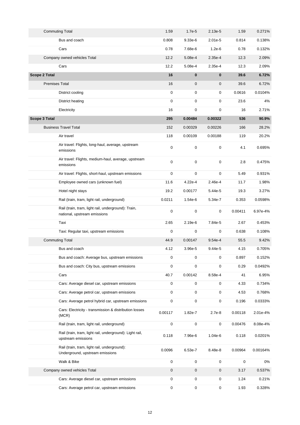| <b>Commuting Total</b>       |                                                                                     | 1.59        | $1.7e-5$            | 2.13e-5   | 1.59    | 0.271%   |
|------------------------------|-------------------------------------------------------------------------------------|-------------|---------------------|-----------|---------|----------|
| Bus and coach                |                                                                                     | 0.808       | $9.33e-6$           | $2.01e-5$ | 0.814   | 0.138%   |
| Cars                         |                                                                                     | 0.78        | 7.68e-6             | $1.2e-6$  | 0.78    | 0.132%   |
| Company owned vehicles Total |                                                                                     | 12.2        | 5.08e-4             | 2.35e-4   | 12.3    | 2.09%    |
| Cars                         |                                                                                     | 12.2        | 5.08e-4             | 2.35e-4   | 12.3    | 2.09%    |
| <b>Scope 2 Total</b>         |                                                                                     | 16          | $\mathbf{0}$        | $\bf{0}$  | 39.6    | 6.72%    |
| <b>Premises Total</b>        |                                                                                     | 16          | $\mathbf 0$         | 0         | 39.6    | 6.72%    |
| District cooling             |                                                                                     | 0           | 0                   | 0         | 0.0616  | 0.0104%  |
| District heating             |                                                                                     | 0           | 0                   | 0         | 23.6    | 4%       |
| Electricity                  |                                                                                     | 16          | $\mathbf 0$         | 0         | 16      | 2.71%    |
| <b>Scope 3 Total</b>         |                                                                                     | 295         | 0.00484             | 0.00322   | 536     | 90.9%    |
| <b>Business Travel Total</b> |                                                                                     | 152         | 0.00329             | 0.00226   | 166     | 28.2%    |
| Air travel                   |                                                                                     | 118         | 0.00109             | 0.00188   | 119     | 20.2%    |
| emissions                    | Air travel: Flights, long-haul, average, upstream                                   | $\mathbf 0$ | $\mathbf 0$         | 0         | 4.1     | 0.695%   |
| emissions                    | Air travel: Flights, medium-haul, average, upstream                                 | $\mathbf 0$ | $\mathbf 0$         | 0         | 2.8     | 0.475%   |
|                              | Air travel: Flights, short-haul, upstream emissions                                 | 0           | 0                   | 0         | 5.49    | 0.931%   |
|                              | Employee owned cars (unknown fuel)                                                  | 11.6        | 4.22e-4             | 2.46e-4   | 11.7    | 1.98%    |
| Hotel night stays            |                                                                                     | 19.2        | 0.00177             | 5.44e-5   | 19.3    | 3.27%    |
|                              | Rail (train, tram, light rail, underground)                                         | 0.0211      | 1.54e-6             | 5.34e-7   | 0.353   | 0.0598%  |
|                              | Rail (train, tram, light rail, underground): Train,<br>national, upstream emissions | 0           | $\mathbf 0$         | 0         | 0.00411 | 6.97e-4% |
| Taxi                         |                                                                                     | 2.65        | 2.19e-6             | 7.84e-5   | 2.67    | 0.453%   |
|                              | Taxi: Regular taxi, upstream emissions                                              | 0           | 0                   | 0         | 0.638   | 0.108%   |
| <b>Commuting Total</b>       |                                                                                     | 44.9        | 0.00147             | $9.54e-4$ | 55.5    | 9.42%    |
| Bus and coach                |                                                                                     | 4.12        | 3.96e-5             | 9.44e-5   | 4.15    | 0.705%   |
|                              | Bus and coach: Average bus, upstream emissions                                      | 0           | 0                   | 0         | 0.897   | 0.152%   |
|                              | Bus and coach: City bus, upstream emissions                                         | 0           | $\mathbf 0$         | 0         | 0.29    | 0.0492%  |
| Cars                         |                                                                                     | 40.7        | 0.00142             | 8.58e-4   | 41      | 6.95%    |
|                              | Cars: Average diesel car, upstream emissions                                        | 0           | 0                   | 0         | 4.33    | 0.734%   |
|                              | Cars: Average petrol car, upstream emissions                                        | 0           | 0                   | 0         | 4.53    | 0.768%   |
|                              | Cars: Average petrol hybrid car, upstream emissions                                 | 0           | 0                   | 0         | 0.196   | 0.0333%  |
| (MCR)                        | Cars: Electricity - transmission & distribution losses                              | 0.00117     | 1.82e-7             | 2.7e-8    | 0.00118 | 2.01e-4% |
|                              | Rail (train, tram, light rail, underground)                                         | 0           | $\mathsf{O}\xspace$ | 0         | 0.00476 | 8.08e-4% |
| upstream emissions           | Rail (train, tram, light rail, underground): Light rail,                            | 0.118       | 7.96e-6             | $1.04e-6$ | 0.118   | 0.0201%  |
|                              | Rail (train, tram, light rail, underground):<br>Underground, upstream emissions     | 0.0096      | 6.53e-7             | 8.48e-8   | 0.00964 | 0.00164% |
| Walk & Bike                  |                                                                                     | 0           | 0                   | 0         | 0       | 0%       |
| Company owned vehicles Total |                                                                                     | $\pmb{0}$   | 0                   | 0         | 3.17    | 0.537%   |
|                              | Cars: Average diesel car, upstream emissions                                        | 0           | 0                   | 0         | 1.24    | 0.21%    |
|                              | Cars: Average petrol car, upstream emissions                                        | 0           | 0                   | 0         | 1.93    | 0.328%   |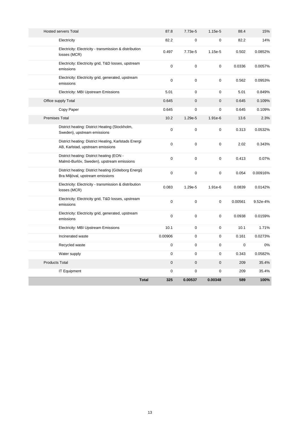|                       |                                                                                          | <b>Total</b><br>325 | 0.00537     | 0.00348     | 589         | 100%     |
|-----------------------|------------------------------------------------------------------------------------------|---------------------|-------------|-------------|-------------|----------|
|                       | <b>IT Equipment</b>                                                                      | $\mathbf 0$         | 0           | 0           | 209         | 35.4%    |
| <b>Products Total</b> |                                                                                          | $\mathbf 0$         | $\mathbf 0$ | $\mathbf 0$ | 209         | 35.4%    |
|                       | Water supply                                                                             | 0                   | 0           | 0           | 0.343       | 0.0582%  |
|                       | Recycled waste                                                                           | $\mathbf 0$         | $\mathbf 0$ | 0           | $\mathbf 0$ | 0%       |
|                       | Incinerated waste                                                                        | 0.00906             | $\mathbf 0$ | 0           | 0.161       | 0.0273%  |
|                       | Electricity: MBI Upstream Emissions                                                      | 10.1                | $\mathbf 0$ | 0           | 10.1        | 1.71%    |
|                       | Electricity: Electricity grid, generated, upstream<br>emissions                          | $\mathbf 0$         | $\mathbf 0$ | 0           | 0.0938      | 0.0159%  |
|                       | Electricity: Electricity grid, T&D losses, upstream<br>emissions                         | $\mathbf 0$         | $\mathbf 0$ | 0           | 0.00561     | 9.52e-4% |
|                       | Electricity: Electricity - transmission & distribution<br>losses (MCR)                   | 0.083               | 1.29e-5     | 1.91e-6     | 0.0839      | 0.0142%  |
|                       | District heating: District heating (Göteborg Energi)<br>Bra Miljöval, upstream emissions | 0                   | $\pmb{0}$   | 0           | 0.054       | 0.00916% |
|                       | District heating: District heating (EON -<br>Malmö-Burlöv, Sweden), upstream emissions   | $\mathbf 0$         | $\mathbf 0$ | 0           | 0.413       | 0.07%    |
|                       | District heating: District Heating, Karlstads Energi<br>AB, Karlstad, upstream emissions | $\pmb{0}$           | $\mathbf 0$ | 0           | 2.02        | 0.343%   |
|                       | District heating: District Heating (Stockholm,<br>Sweden), upstream emissions            | $\mathbf 0$         | $\pmb{0}$   | 0           | 0.313       | 0.0532%  |
| <b>Premises Total</b> |                                                                                          | 10.2                | 1.29e-5     | 1.91e-6     | 13.6        | 2.3%     |
|                       | Copy Paper                                                                               | 0.645               | 0           | $\mathbf 0$ | 0.645       | 0.109%   |
|                       | Office supply Total                                                                      | 0.645               | 0           | 0           | 0.645       | 0.109%   |
|                       | Electricity: MBI Upstream Emissions                                                      | 5.01                | 0           | 0           | 5.01        | 0.849%   |
|                       | Electricity: Electricity grid, generated, upstream<br>emissions                          | $\mathbf 0$         | $\mathbf 0$ | 0           | 0.562       | 0.0953%  |
|                       | Electricity: Electricity grid, T&D losses, upstream<br>emissions                         | $\mathbf 0$         | $\pmb{0}$   | 0           | 0.0336      | 0.0057%  |
|                       | Electricity: Electricity - transmission & distribution<br>losses (MCR)                   | 0.497               | 7.73e-5     | 1.15e-5     | 0.502       | 0.0852%  |
|                       | Electricity                                                                              | 82.2                | 0           | 0           | 82.2        | 14%      |
|                       | <b>Hosted servers Total</b>                                                              | 87.8                | 7.73e-5     | 1.15e-5     | 88.4        | 15%      |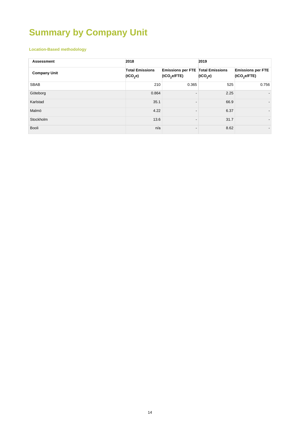# **Summary by Company Unit**

### **Location-Based methodology**

| <b>Assessment</b>   | 2018                                           |                                                               | 2019                 |                                          |
|---------------------|------------------------------------------------|---------------------------------------------------------------|----------------------|------------------------------------------|
| <b>Company Unit</b> | <b>Total Emissions</b><br>(tCO <sub>2</sub> e) | Emissions per FTE Total Emissions<br>(tCO <sub>2</sub> e/FTE) | (tCO <sub>2</sub> e) | <b>Emissions per FTE</b><br>(tCO, e/FTE) |
| <b>SBAB</b>         | 210                                            | 0.365                                                         | 525                  | 0.756                                    |
| Göteborg            | 0.864                                          |                                                               | 2.25                 |                                          |
| Karlstad            | 35.1                                           |                                                               | 66.9                 | $\overline{\phantom{a}}$                 |
| Malmö               | 4.22                                           |                                                               | 6.37                 | $\overline{\phantom{a}}$                 |
| Stockholm           | 13.6                                           |                                                               | 31.7                 | $\overline{\phantom{a}}$                 |
| Booli               | n/a                                            |                                                               | 8.62                 | $\overline{\phantom{a}}$                 |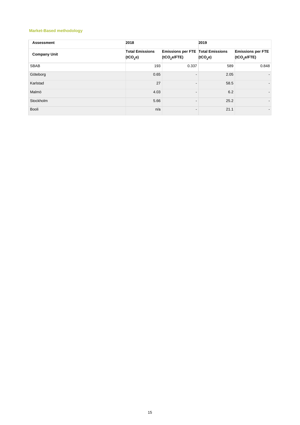### **Market-Based methodology**

| <b>Assessment</b>   | 2018                                           |                                                               | 2019    |                                          |
|---------------------|------------------------------------------------|---------------------------------------------------------------|---------|------------------------------------------|
| <b>Company Unit</b> | <b>Total Emissions</b><br>(tCO <sub>2</sub> e) | Emissions per FTE Total Emissions<br>(tCO <sub>2</sub> e/FTE) | (1CO,e) | <b>Emissions per FTE</b><br>(tCO, e/FTE) |
| <b>SBAB</b>         | 193                                            | 0.337                                                         | 589     | 0.848                                    |
| Göteborg            | 0.65                                           |                                                               | 2.05    | $\overline{\phantom{a}}$                 |
| Karlstad            | 27                                             |                                                               | 58.5    | $\overline{\phantom{a}}$                 |
| Malmö               | 4.03                                           |                                                               | 6.2     |                                          |
| Stockholm           | 5.66                                           |                                                               | 25.2    | $\overline{\phantom{a}}$                 |
| Booli               | n/a                                            |                                                               | 21.1    |                                          |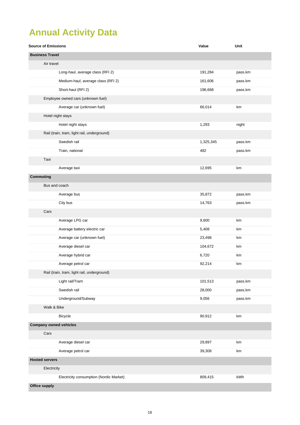# **Annual Activity Data**

| <b>Source of Emissions</b>                  | Value     | Unit    |
|---------------------------------------------|-----------|---------|
| <b>Business Travel</b>                      |           |         |
| Air travel                                  |           |         |
| Long-haul, average class (RFI 2)            | 191,284   | pass.km |
| Medium-haul, average class (RFI 2)          | 161,606   | pass.km |
| Short-haul (RFI 2)                          | 196,668   | pass.km |
| Employee owned cars (unknown fuel)          |           |         |
| Average car (unknown fuel)                  | 66,014    | km      |
| Hotel night stays                           |           |         |
| Hotel night stays                           | 1,293     | night   |
| Rail (train, tram, light rail, underground) |           |         |
| Swedish rail                                | 1,325,345 | pass.km |
| Train, national                             | 482       | pass.km |
| Taxi                                        |           |         |
| Average taxi                                | 12,695    | km      |
| <b>Commuting</b>                            |           |         |
| Bus and coach                               |           |         |
| Average bus                                 | 35,872    | pass.km |
| City bus                                    | 14,763    | pass.km |
| Cars                                        |           |         |
| Average LPG car                             | 9,600     | km      |
| Average battery electric car                | 5,408     | km      |
| Average car (unknown fuel)                  | 23,498    | km      |
| Average diesel car                          | 104,672   | km      |
| Average hybrid car                          | 6,720     | km      |
| Average petrol car                          | 92,214    | km      |
| Rail (train, tram, light rail, underground) |           |         |
| Light rail/Tram                             | 101,513   | pass.km |
| Swedish rail                                | 28,000    | pass.km |
| Underground/Subway                          | 9,056     | pass.km |
| Walk & Bike                                 |           |         |
| <b>Bicycle</b>                              | 90,912    | km      |
| <b>Company owned vehicles</b>               |           |         |
| Cars                                        |           |         |
| Average diesel car                          | 29,897    | km      |
| Average petrol car                          | 39,308    | km      |
| <b>Hosted servers</b>                       |           |         |
| Electricity                                 |           |         |
| Electricity consumption (Nordic Market)     | 809,415   | kWh     |
| <b>Office supply</b>                        |           |         |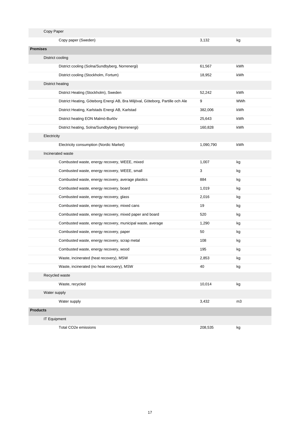| Copy Paper          |                                                                                |           |     |
|---------------------|--------------------------------------------------------------------------------|-----------|-----|
|                     | Copy paper (Sweden)                                                            | 3,132     | kg  |
| <b>Premises</b>     |                                                                                |           |     |
| District cooling    |                                                                                |           |     |
|                     | District cooling (Solna/Sundbyberg, Norrenergi)                                | 61,567    | kWh |
|                     | District cooling (Stockholm, Fortum)                                           | 18,952    | kWh |
| District heating    |                                                                                |           |     |
|                     | District Heating (Stockholm), Sweden                                           | 52,242    | kWh |
|                     | District Heating, Göteborg Energi AB, Bra Miljöval, Göteborg, Partille och Ale | 9         | MWh |
|                     | District Heating, Karlstads Energi AB, Karlstad                                | 382,006   | kWh |
|                     | District heating EON Malmö-Burlöv                                              | 25,643    | kWh |
|                     | District heating, Solna/Sundbyberg (Norrenergi)                                | 160,828   | kWh |
| Electricity         |                                                                                |           |     |
|                     | Electricity consumption (Nordic Market)                                        | 1,090,790 | kWh |
| Incinerated waste   |                                                                                |           |     |
|                     | Combusted waste, energy recovery, WEEE, mixed                                  | 1,007     | kg  |
|                     | Combusted waste, energy recovery, WEEE, small                                  | 3         | kg  |
|                     | Combusted waste, energy recovery, average plastics                             | 884       | kg  |
|                     | Combusted waste, energy recovery, board                                        | 1,019     | kg  |
|                     | Combusted waste, energy recovery, glass                                        | 2,016     | kg  |
|                     | Combusted waste, energy recovery, mixed cans                                   | 19        | kg  |
|                     | Combusted waste, energy recovery, mixed paper and board                        | 520       | kg  |
|                     | Combusted waste, energy recovery, municipal waste, average                     | 1,290     | kg  |
|                     | Combusted waste, energy recovery, paper                                        | 50        | kg  |
|                     | Combusted waste, energy recovery, scrap metal                                  | 108       | kg  |
|                     | Combusted waste, energy recovery, wood                                         | 195       | kg  |
|                     | Waste, incinerated (heat recovery), MSW                                        | 2,853     | kg  |
|                     | Waste, incinerated (no heat recovery), MSW                                     | 40        | kg  |
| Recycled waste      |                                                                                |           |     |
|                     | Waste, recycled                                                                | 10,014    | kg  |
| Water supply        |                                                                                |           |     |
| Water supply        |                                                                                | 3,432     | m3  |
| <b>Products</b>     |                                                                                |           |     |
| <b>IT Equipment</b> |                                                                                |           |     |
|                     | Total CO2e emissions                                                           | 208,535   | kg  |